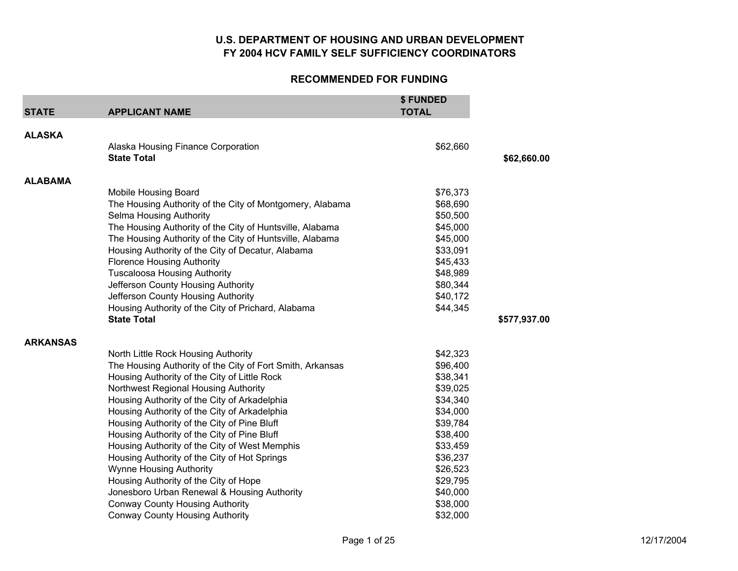| <b>STATE</b>    | <b>APPLICANT NAME</b>                                     | \$ FUNDED<br><b>TOTAL</b> |              |
|-----------------|-----------------------------------------------------------|---------------------------|--------------|
| <b>ALASKA</b>   |                                                           |                           |              |
|                 | Alaska Housing Finance Corporation                        | \$62,660                  |              |
|                 | <b>State Total</b>                                        |                           | \$62,660.00  |
| <b>ALABAMA</b>  |                                                           |                           |              |
|                 | <b>Mobile Housing Board</b>                               | \$76,373                  |              |
|                 | The Housing Authority of the City of Montgomery, Alabama  | \$68,690                  |              |
|                 | Selma Housing Authority                                   | \$50,500                  |              |
|                 | The Housing Authority of the City of Huntsville, Alabama  | \$45,000                  |              |
|                 | The Housing Authority of the City of Huntsville, Alabama  | \$45,000                  |              |
|                 | Housing Authority of the City of Decatur, Alabama         | \$33,091                  |              |
|                 | <b>Florence Housing Authority</b>                         | \$45,433                  |              |
|                 | <b>Tuscaloosa Housing Authority</b>                       | \$48,989                  |              |
|                 | Jefferson County Housing Authority                        | \$80,344                  |              |
|                 | Jefferson County Housing Authority                        | \$40,172                  |              |
|                 | Housing Authority of the City of Prichard, Alabama        | \$44,345                  |              |
|                 | <b>State Total</b>                                        |                           | \$577,937.00 |
| <b>ARKANSAS</b> |                                                           |                           |              |
|                 | North Little Rock Housing Authority                       | \$42,323                  |              |
|                 | The Housing Authority of the City of Fort Smith, Arkansas | \$96,400                  |              |
|                 | Housing Authority of the City of Little Rock              | \$38,341                  |              |
|                 | Northwest Regional Housing Authority                      | \$39,025                  |              |
|                 | Housing Authority of the City of Arkadelphia              | \$34,340                  |              |
|                 | Housing Authority of the City of Arkadelphia              | \$34,000                  |              |
|                 | Housing Authority of the City of Pine Bluff               | \$39,784                  |              |
|                 | Housing Authority of the City of Pine Bluff               | \$38,400                  |              |
|                 | Housing Authority of the City of West Memphis             | \$33,459                  |              |
|                 | Housing Authority of the City of Hot Springs              | \$36,237                  |              |
|                 | <b>Wynne Housing Authority</b>                            | \$26,523                  |              |
|                 | Housing Authority of the City of Hope                     | \$29,795                  |              |
|                 | Jonesboro Urban Renewal & Housing Authority               | \$40,000                  |              |
|                 | <b>Conway County Housing Authority</b>                    | \$38,000                  |              |
|                 | <b>Conway County Housing Authority</b>                    | \$32,000                  |              |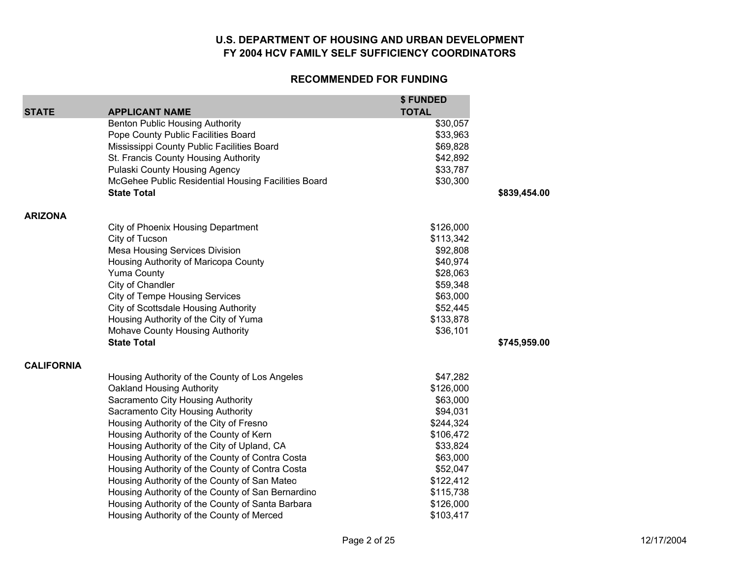| <b>STATE</b>      | <b>APPLICANT NAME</b>                               | \$FUNDED<br><b>TOTAL</b> |              |
|-------------------|-----------------------------------------------------|--------------------------|--------------|
|                   | <b>Benton Public Housing Authority</b>              | \$30,057                 |              |
|                   | Pope County Public Facilities Board                 | \$33,963                 |              |
|                   | Mississippi County Public Facilities Board          | \$69,828                 |              |
|                   | St. Francis County Housing Authority                | \$42,892                 |              |
|                   | Pulaski County Housing Agency                       | \$33,787                 |              |
|                   | McGehee Public Residential Housing Facilities Board | \$30,300                 |              |
|                   | <b>State Total</b>                                  |                          | \$839,454.00 |
| <b>ARIZONA</b>    |                                                     |                          |              |
|                   | City of Phoenix Housing Department                  | \$126,000                |              |
|                   | City of Tucson                                      | \$113,342                |              |
|                   | <b>Mesa Housing Services Division</b>               | \$92,808                 |              |
|                   | Housing Authority of Maricopa County                | \$40,974                 |              |
|                   | <b>Yuma County</b>                                  | \$28,063                 |              |
|                   | City of Chandler                                    | \$59,348                 |              |
|                   | <b>City of Tempe Housing Services</b>               | \$63,000                 |              |
|                   | <b>City of Scottsdale Housing Authority</b>         | \$52,445                 |              |
|                   | Housing Authority of the City of Yuma               | \$133,878                |              |
|                   | Mohave County Housing Authority                     | \$36,101                 |              |
|                   | <b>State Total</b>                                  |                          | \$745,959.00 |
| <b>CALIFORNIA</b> |                                                     |                          |              |
|                   | Housing Authority of the County of Los Angeles      | \$47,282                 |              |
|                   | Oakland Housing Authority                           | \$126,000                |              |
|                   | Sacramento City Housing Authority                   | \$63,000                 |              |
|                   | Sacramento City Housing Authority                   | \$94,031                 |              |
|                   | Housing Authority of the City of Fresno             | \$244,324                |              |
|                   | Housing Authority of the County of Kern             | \$106,472                |              |
|                   | Housing Authority of the City of Upland, CA         | \$33,824                 |              |
|                   | Housing Authority of the County of Contra Costa     | \$63,000                 |              |
|                   | Housing Authority of the County of Contra Costa     | \$52,047                 |              |
|                   | Housing Authority of the County of San Mateo        | \$122,412                |              |
|                   | Housing Authority of the County of San Bernardino   | \$115,738                |              |
|                   | Housing Authority of the County of Santa Barbara    | \$126,000                |              |
|                   | Housing Authority of the County of Merced           | \$103,417                |              |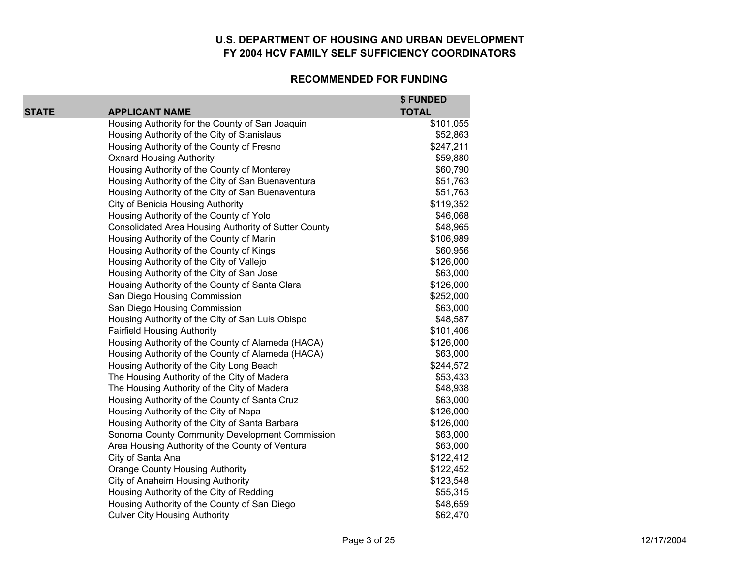#### **RECOMMENDED FOR FUNDING**

**\$ FUNDED** 

| <b>STATE</b> | <b>APPLICANT NAME</b>                                | \$ FUNDED<br><b>TOTAL</b> |
|--------------|------------------------------------------------------|---------------------------|
|              | Housing Authority for the County of San Joaquin      | \$101,055                 |
|              | Housing Authority of the City of Stanislaus          | \$52,863                  |
|              | Housing Authority of the County of Fresno            | \$247,211                 |
|              | <b>Oxnard Housing Authority</b>                      | \$59,880                  |
|              | Housing Authority of the County of Monterey          | \$60,790                  |
|              | Housing Authority of the City of San Buenaventura    | \$51,763                  |
|              | Housing Authority of the City of San Buenaventura    | \$51,763                  |
|              | City of Benicia Housing Authority                    | \$119,352                 |
|              | Housing Authority of the County of Yolo              | \$46,068                  |
|              | Consolidated Area Housing Authority of Sutter County | \$48,965                  |
|              | Housing Authority of the County of Marin             | \$106,989                 |
|              | Housing Authority of the County of Kings             | \$60,956                  |
|              | Housing Authority of the City of Vallejo             | \$126,000                 |
|              | Housing Authority of the City of San Jose            | \$63,000                  |
|              | Housing Authority of the County of Santa Clara       | \$126,000                 |
|              | San Diego Housing Commission                         | \$252,000                 |
|              | San Diego Housing Commission                         | \$63,000                  |
|              | Housing Authority of the City of San Luis Obispo     | \$48,587                  |
|              | <b>Fairfield Housing Authority</b>                   | \$101,406                 |
|              | Housing Authority of the County of Alameda (HACA)    | \$126,000                 |
|              | Housing Authority of the County of Alameda (HACA)    | \$63,000                  |
|              | Housing Authority of the City Long Beach             | \$244,572                 |
|              | The Housing Authority of the City of Madera          | \$53,433                  |
|              | The Housing Authority of the City of Madera          | \$48,938                  |
|              | Housing Authority of the County of Santa Cruz        | \$63,000                  |
|              | Housing Authority of the City of Napa                | \$126,000                 |
|              | Housing Authority of the City of Santa Barbara       | \$126,000                 |
|              | Sonoma County Community Development Commission       | \$63,000                  |
|              | Area Housing Authority of the County of Ventura      | \$63,000                  |
|              | City of Santa Ana                                    | \$122,412                 |
|              | <b>Orange County Housing Authority</b>               | \$122,452                 |
|              | City of Anaheim Housing Authority                    | \$123,548                 |
|              | Housing Authority of the City of Redding             | \$55,315                  |
|              | Housing Authority of the County of San Diego         | \$48,659                  |
|              | <b>Culver City Housing Authority</b>                 | \$62,470                  |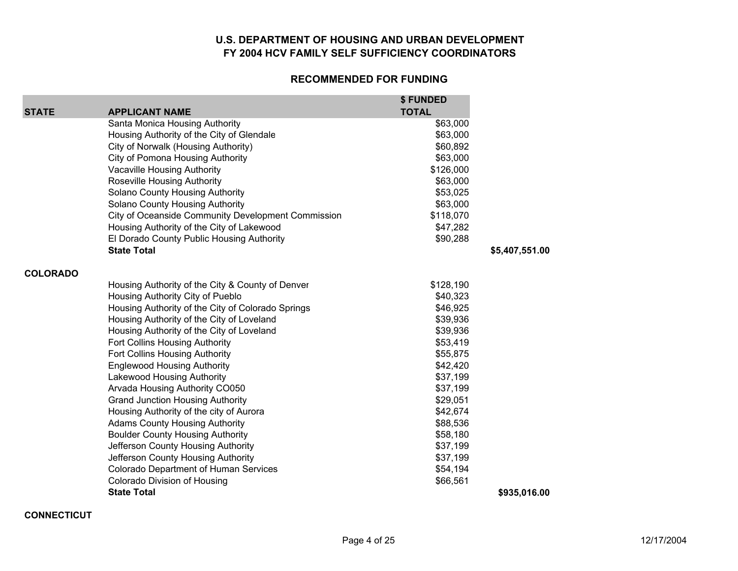#### **RECOMMENDED FOR FUNDING**

| STATE           | <b>APPLICANT NAME</b>                              | \$ FUNDED<br><b>TOTAL</b> |                |
|-----------------|----------------------------------------------------|---------------------------|----------------|
|                 | Santa Monica Housing Authority                     | \$63,000                  |                |
|                 | Housing Authority of the City of Glendale          | \$63,000                  |                |
|                 | City of Norwalk (Housing Authority)                | \$60,892                  |                |
|                 | City of Pomona Housing Authority                   | \$63,000                  |                |
|                 | <b>Vacaville Housing Authority</b>                 | \$126,000                 |                |
|                 | Roseville Housing Authority                        | \$63,000                  |                |
|                 | Solano County Housing Authority                    | \$53,025                  |                |
|                 | Solano County Housing Authority                    | \$63,000                  |                |
|                 | City of Oceanside Community Development Commission | \$118,070                 |                |
|                 | Housing Authority of the City of Lakewood          | \$47,282                  |                |
|                 | El Dorado County Public Housing Authority          | \$90,288                  |                |
|                 | <b>State Total</b>                                 |                           | \$5,407,551.00 |
| <b>COLORADO</b> |                                                    |                           |                |
|                 | Housing Authority of the City & County of Denver   | \$128,190                 |                |
|                 | Housing Authority City of Pueblo                   | \$40,323                  |                |
|                 | Housing Authority of the City of Colorado Springs  | \$46,925                  |                |
|                 | Housing Authority of the City of Loveland          | \$39,936                  |                |
|                 | Housing Authority of the City of Loveland          | \$39,936                  |                |
|                 | Fort Collins Housing Authority                     | \$53,419                  |                |
|                 | Fort Collins Housing Authority                     | \$55,875                  |                |
|                 | <b>Englewood Housing Authority</b>                 | \$42,420                  |                |
|                 | Lakewood Housing Authority                         | \$37,199                  |                |
|                 | Arvada Housing Authority CO050                     | \$37,199                  |                |
|                 | <b>Grand Junction Housing Authority</b>            | \$29,051                  |                |
|                 | Housing Authority of the city of Aurora            | \$42,674                  |                |
|                 | <b>Adams County Housing Authority</b>              | \$88,536                  |                |
|                 | <b>Boulder County Housing Authority</b>            | \$58,180                  |                |
|                 | Jefferson County Housing Authority                 | \$37,199                  |                |
|                 | Jefferson County Housing Authority                 | \$37,199                  |                |
|                 | <b>Colorado Department of Human Services</b>       | \$54,194                  |                |
|                 | Colorado Division of Housing                       | \$66,561                  |                |
|                 | <b>State Total</b>                                 |                           | \$935,016.00   |

**CONNECTICUT**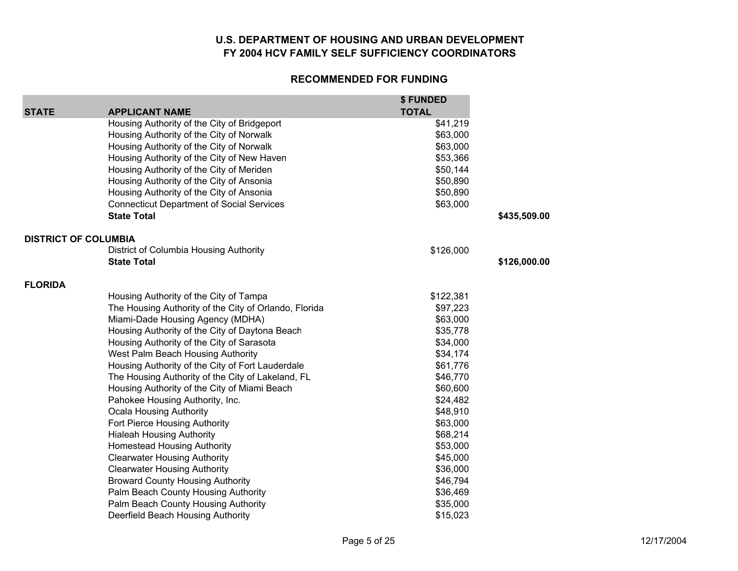|                             |                                                       | \$ FUNDED    |              |
|-----------------------------|-------------------------------------------------------|--------------|--------------|
| <b>STATE</b>                | <b>APPLICANT NAME</b>                                 | <b>TOTAL</b> |              |
|                             | Housing Authority of the City of Bridgeport           | \$41,219     |              |
|                             | Housing Authority of the City of Norwalk              | \$63,000     |              |
|                             | Housing Authority of the City of Norwalk              | \$63,000     |              |
|                             | Housing Authority of the City of New Haven            | \$53,366     |              |
|                             | Housing Authority of the City of Meriden              | \$50,144     |              |
|                             | Housing Authority of the City of Ansonia              | \$50,890     |              |
|                             | Housing Authority of the City of Ansonia              | \$50,890     |              |
|                             | <b>Connecticut Department of Social Services</b>      | \$63,000     |              |
|                             | <b>State Total</b>                                    |              | \$435,509.00 |
| <b>DISTRICT OF COLUMBIA</b> |                                                       |              |              |
|                             | District of Columbia Housing Authority                | \$126,000    |              |
|                             | <b>State Total</b>                                    |              | \$126,000.00 |
| <b>FLORIDA</b>              |                                                       |              |              |
|                             | Housing Authority of the City of Tampa                | \$122,381    |              |
|                             | The Housing Authority of the City of Orlando, Florida | \$97,223     |              |
|                             | Miami-Dade Housing Agency (MDHA)                      | \$63,000     |              |
|                             | Housing Authority of the City of Daytona Beach        | \$35,778     |              |
|                             | Housing Authority of the City of Sarasota             | \$34,000     |              |
|                             | West Palm Beach Housing Authority                     | \$34,174     |              |
|                             | Housing Authority of the City of Fort Lauderdale      | \$61,776     |              |
|                             | The Housing Authority of the City of Lakeland, FL     | \$46,770     |              |
|                             | Housing Authority of the City of Miami Beach          | \$60,600     |              |
|                             | Pahokee Housing Authority, Inc.                       | \$24,482     |              |
|                             | <b>Ocala Housing Authority</b>                        | \$48,910     |              |
|                             | Fort Pierce Housing Authority                         | \$63,000     |              |
|                             | <b>Hialeah Housing Authority</b>                      | \$68,214     |              |
|                             | <b>Homestead Housing Authority</b>                    | \$53,000     |              |
|                             | <b>Clearwater Housing Authority</b>                   | \$45,000     |              |
|                             | <b>Clearwater Housing Authority</b>                   | \$36,000     |              |
|                             | <b>Broward County Housing Authority</b>               | \$46,794     |              |
|                             | Palm Beach County Housing Authority                   | \$36,469     |              |
|                             | Palm Beach County Housing Authority                   | \$35,000     |              |
|                             | Deerfield Beach Housing Authority                     | \$15,023     |              |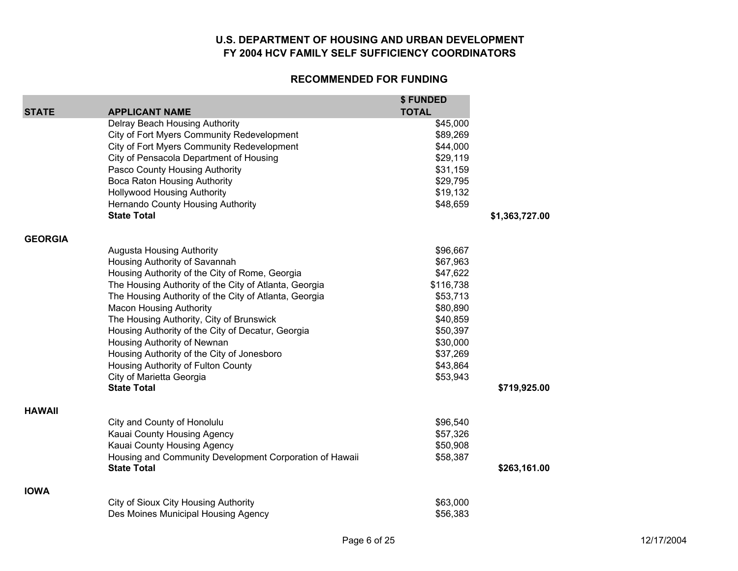|                |                                                                              | \$ FUNDED            |                |
|----------------|------------------------------------------------------------------------------|----------------------|----------------|
| <b>STATE</b>   | <b>APPLICANT NAME</b>                                                        | <b>TOTAL</b>         |                |
|                | Delray Beach Housing Authority<br>City of Fort Myers Community Redevelopment | \$45,000<br>\$89,269 |                |
|                | City of Fort Myers Community Redevelopment                                   | \$44,000             |                |
|                | City of Pensacola Department of Housing                                      | \$29,119             |                |
|                | Pasco County Housing Authority                                               | \$31,159             |                |
|                | Boca Raton Housing Authority                                                 | \$29,795             |                |
|                | <b>Hollywood Housing Authority</b>                                           | \$19,132             |                |
|                | Hernando County Housing Authority                                            | \$48,659             |                |
|                | <b>State Total</b>                                                           |                      | \$1,363,727.00 |
| <b>GEORGIA</b> |                                                                              |                      |                |
|                | Augusta Housing Authority                                                    | \$96,667             |                |
|                | Housing Authority of Savannah                                                | \$67,963             |                |
|                | Housing Authority of the City of Rome, Georgia                               | \$47,622             |                |
|                | The Housing Authority of the City of Atlanta, Georgia                        | \$116,738            |                |
|                | The Housing Authority of the City of Atlanta, Georgia                        | \$53,713             |                |
|                | <b>Macon Housing Authority</b>                                               | \$80,890             |                |
|                | The Housing Authority, City of Brunswick                                     | \$40,859             |                |
|                | Housing Authority of the City of Decatur, Georgia                            | \$50,397             |                |
|                | Housing Authority of Newnan                                                  | \$30,000             |                |
|                | Housing Authority of the City of Jonesboro                                   | \$37,269             |                |
|                | Housing Authority of Fulton County                                           | \$43,864             |                |
|                | City of Marietta Georgia                                                     | \$53,943             |                |
|                | <b>State Total</b>                                                           |                      | \$719,925.00   |
| <b>HAWAII</b>  |                                                                              |                      |                |
|                | City and County of Honolulu                                                  | \$96,540             |                |
|                | Kauai County Housing Agency                                                  | \$57,326             |                |
|                | Kauai County Housing Agency                                                  | \$50,908             |                |
|                | Housing and Community Development Corporation of Hawaii                      | \$58,387             |                |
|                | <b>State Total</b>                                                           |                      | \$263,161.00   |
| <b>IOWA</b>    |                                                                              |                      |                |
|                | City of Sioux City Housing Authority                                         | \$63,000             |                |
|                | Des Moines Municipal Housing Agency                                          | \$56,383             |                |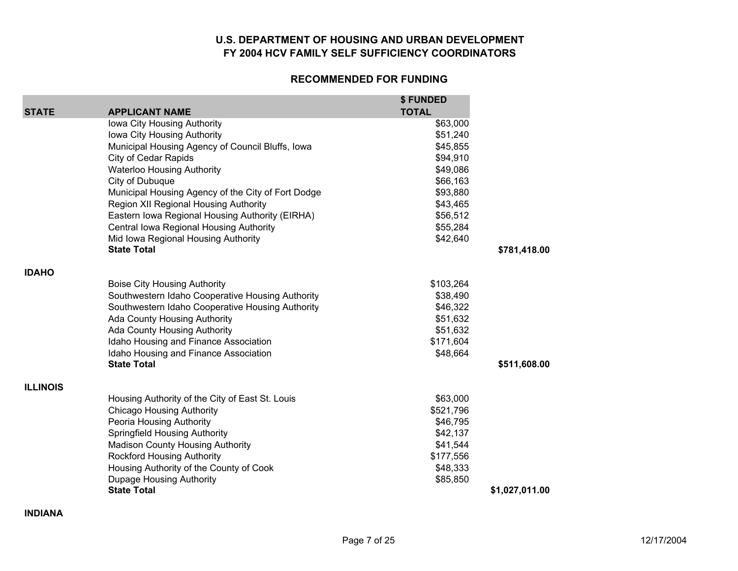#### **RECOMMENDED FOR FUNDING**

|                 |                                                    | \$FUNDED     |                |
|-----------------|----------------------------------------------------|--------------|----------------|
| <b>STATE</b>    | <b>APPLICANT NAME</b>                              | <b>TOTAL</b> |                |
|                 | Iowa City Housing Authority                        | \$63,000     |                |
|                 | Iowa City Housing Authority                        | \$51,240     |                |
|                 | Municipal Housing Agency of Council Bluffs, Iowa   | \$45,855     |                |
|                 | City of Cedar Rapids                               | \$94,910     |                |
|                 | <b>Waterloo Housing Authority</b>                  | \$49,086     |                |
|                 | City of Dubuque                                    | \$66,163     |                |
|                 | Municipal Housing Agency of the City of Fort Dodge | \$93,880     |                |
|                 | <b>Region XII Regional Housing Authority</b>       | \$43,465     |                |
|                 | Eastern Iowa Regional Housing Authority (EIRHA)    | \$56,512     |                |
|                 | Central Iowa Regional Housing Authority            | \$55,284     |                |
|                 | Mid Iowa Regional Housing Authority                | \$42,640     |                |
|                 | <b>State Total</b>                                 |              | \$781,418.00   |
| <b>IDAHO</b>    |                                                    |              |                |
|                 | <b>Boise City Housing Authority</b>                | \$103,264    |                |
|                 | Southwestern Idaho Cooperative Housing Authority   | \$38,490     |                |
|                 | Southwestern Idaho Cooperative Housing Authority   | \$46,322     |                |
|                 | <b>Ada County Housing Authority</b>                | \$51,632     |                |
|                 | Ada County Housing Authority                       | \$51,632     |                |
|                 | Idaho Housing and Finance Association              | \$171,604    |                |
|                 | Idaho Housing and Finance Association              | \$48,664     |                |
|                 | <b>State Total</b>                                 |              | \$511,608.00   |
| <b>ILLINOIS</b> |                                                    |              |                |
|                 | Housing Authority of the City of East St. Louis    | \$63,000     |                |
|                 | <b>Chicago Housing Authority</b>                   | \$521,796    |                |
|                 | Peoria Housing Authority                           | \$46,795     |                |
|                 | <b>Springfield Housing Authority</b>               | \$42,137     |                |
|                 | Madison County Housing Authority                   | \$41,544     |                |
|                 | <b>Rockford Housing Authority</b>                  | \$177,556    |                |
|                 | Housing Authority of the County of Cook            | \$48,333     |                |
|                 | <b>Dupage Housing Authority</b>                    | \$85,850     |                |
|                 | <b>State Total</b>                                 |              | \$1,027,011.00 |

**INDIANA**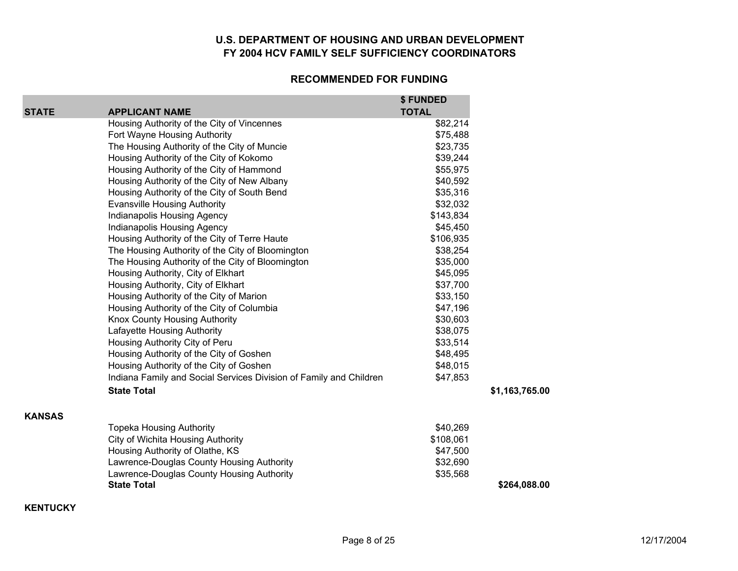#### **RECOMMENDED FOR FUNDING**

|               |                                                                    | \$ FUNDED    |                |
|---------------|--------------------------------------------------------------------|--------------|----------------|
| <b>STATE</b>  | <b>APPLICANT NAME</b>                                              | <b>TOTAL</b> |                |
|               | Housing Authority of the City of Vincennes                         | \$82,214     |                |
|               | Fort Wayne Housing Authority                                       | \$75,488     |                |
|               | The Housing Authority of the City of Muncie                        | \$23,735     |                |
|               | Housing Authority of the City of Kokomo                            | \$39,244     |                |
|               | Housing Authority of the City of Hammond                           | \$55,975     |                |
|               | Housing Authority of the City of New Albany                        | \$40,592     |                |
|               | Housing Authority of the City of South Bend                        | \$35,316     |                |
|               | <b>Evansville Housing Authority</b>                                | \$32,032     |                |
|               | Indianapolis Housing Agency                                        | \$143,834    |                |
|               | Indianapolis Housing Agency                                        | \$45,450     |                |
|               | Housing Authority of the City of Terre Haute                       | \$106,935    |                |
|               | The Housing Authority of the City of Bloomington                   | \$38,254     |                |
|               | The Housing Authority of the City of Bloomington                   | \$35,000     |                |
|               | Housing Authority, City of Elkhart                                 | \$45,095     |                |
|               | Housing Authority, City of Elkhart                                 | \$37,700     |                |
|               | Housing Authority of the City of Marion                            | \$33,150     |                |
|               | Housing Authority of the City of Columbia                          | \$47,196     |                |
|               | Knox County Housing Authority                                      | \$30,603     |                |
|               | Lafayette Housing Authority                                        | \$38,075     |                |
|               | Housing Authority City of Peru                                     | \$33,514     |                |
|               | Housing Authority of the City of Goshen                            | \$48,495     |                |
|               | Housing Authority of the City of Goshen                            | \$48,015     |                |
|               | Indiana Family and Social Services Division of Family and Children | \$47,853     |                |
|               | <b>State Total</b>                                                 |              | \$1,163,765.00 |
| <b>KANSAS</b> |                                                                    |              |                |
|               | <b>Topeka Housing Authority</b>                                    | \$40,269     |                |
|               | City of Wichita Housing Authority                                  | \$108,061    |                |
|               | Housing Authority of Olathe, KS                                    | \$47,500     |                |
|               | Lawrence-Douglas County Housing Authority                          | \$32,690     |                |
|               | Lawrence-Douglas County Housing Authority                          | \$35,568     |                |
|               | <b>State Total</b>                                                 |              | \$264,088.00   |

**KENTUCKY**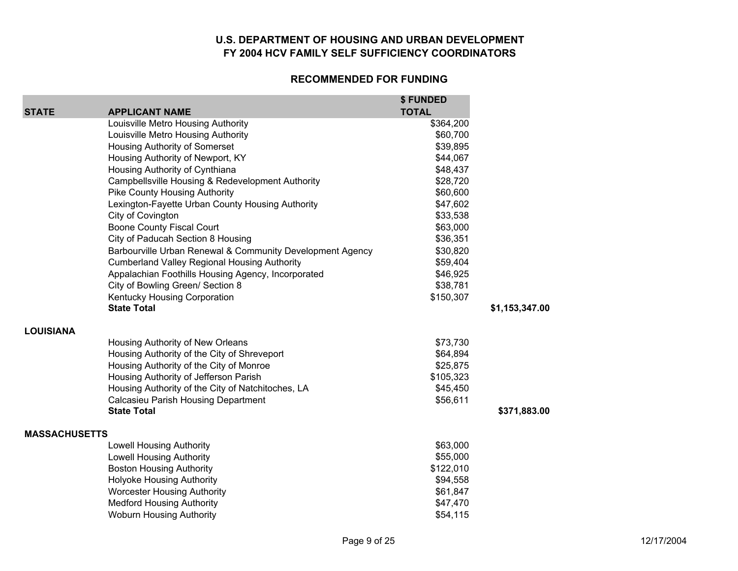| <b>STATE</b>         | <b>APPLICANT NAME</b>                                     | \$FUNDED<br><b>TOTAL</b> |                |
|----------------------|-----------------------------------------------------------|--------------------------|----------------|
|                      | Louisville Metro Housing Authority                        | \$364,200                |                |
|                      | Louisville Metro Housing Authority                        | \$60,700                 |                |
|                      | Housing Authority of Somerset                             | \$39,895                 |                |
|                      | Housing Authority of Newport, KY                          | \$44,067                 |                |
|                      | Housing Authority of Cynthiana                            | \$48,437                 |                |
|                      | Campbellsville Housing & Redevelopment Authority          | \$28,720                 |                |
|                      | <b>Pike County Housing Authority</b>                      | \$60,600                 |                |
|                      | Lexington-Fayette Urban County Housing Authority          | \$47,602                 |                |
|                      | City of Covington                                         | \$33,538                 |                |
|                      | <b>Boone County Fiscal Court</b>                          | \$63,000                 |                |
|                      | City of Paducah Section 8 Housing                         | \$36,351                 |                |
|                      | Barbourville Urban Renewal & Community Development Agency | \$30,820                 |                |
|                      | <b>Cumberland Valley Regional Housing Authority</b>       | \$59,404                 |                |
|                      | Appalachian Foothills Housing Agency, Incorporated        | \$46,925                 |                |
|                      | City of Bowling Green/ Section 8                          | \$38,781                 |                |
|                      | Kentucky Housing Corporation                              | \$150,307                |                |
|                      | <b>State Total</b>                                        |                          | \$1,153,347.00 |
| <b>LOUISIANA</b>     |                                                           |                          |                |
|                      | Housing Authority of New Orleans                          | \$73,730                 |                |
|                      | Housing Authority of the City of Shreveport               | \$64,894                 |                |
|                      | Housing Authority of the City of Monroe                   | \$25,875                 |                |
|                      | Housing Authority of Jefferson Parish                     | \$105,323                |                |
|                      | Housing Authority of the City of Natchitoches, LA         | \$45,450                 |                |
|                      | <b>Calcasieu Parish Housing Department</b>                | \$56,611                 |                |
|                      | <b>State Total</b>                                        |                          | \$371,883.00   |
| <b>MASSACHUSETTS</b> |                                                           |                          |                |
|                      | <b>Lowell Housing Authority</b>                           | \$63,000                 |                |
|                      | <b>Lowell Housing Authority</b>                           | \$55,000                 |                |
|                      | <b>Boston Housing Authority</b>                           | \$122,010                |                |
|                      | <b>Holyoke Housing Authority</b>                          | \$94,558                 |                |
|                      | <b>Worcester Housing Authority</b>                        | \$61,847                 |                |
|                      | <b>Medford Housing Authority</b>                          | \$47,470                 |                |
|                      | <b>Woburn Housing Authority</b>                           | \$54,115                 |                |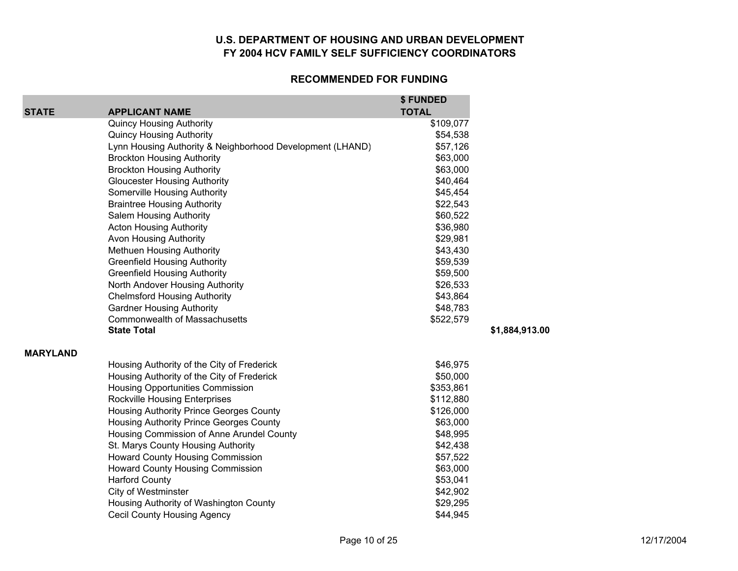|                 |                                                           | \$FUNDED     |                |
|-----------------|-----------------------------------------------------------|--------------|----------------|
| <b>STATE</b>    | <b>APPLICANT NAME</b>                                     | <b>TOTAL</b> |                |
|                 | <b>Quincy Housing Authority</b>                           | \$109,077    |                |
|                 | <b>Quincy Housing Authority</b>                           | \$54,538     |                |
|                 | Lynn Housing Authority & Neighborhood Development (LHAND) | \$57,126     |                |
|                 | <b>Brockton Housing Authority</b>                         | \$63,000     |                |
|                 | <b>Brockton Housing Authority</b>                         | \$63,000     |                |
|                 | <b>Gloucester Housing Authority</b>                       | \$40,464     |                |
|                 | Somerville Housing Authority                              | \$45,454     |                |
|                 | <b>Braintree Housing Authority</b>                        | \$22,543     |                |
|                 | Salem Housing Authority                                   | \$60,522     |                |
|                 | <b>Acton Housing Authority</b>                            | \$36,980     |                |
|                 | Avon Housing Authority                                    | \$29,981     |                |
|                 | <b>Methuen Housing Authority</b>                          | \$43,430     |                |
|                 | <b>Greenfield Housing Authority</b>                       | \$59,539     |                |
|                 | <b>Greenfield Housing Authority</b>                       | \$59,500     |                |
|                 | North Andover Housing Authority                           | \$26,533     |                |
|                 | <b>Chelmsford Housing Authority</b>                       | \$43,864     |                |
|                 | <b>Gardner Housing Authority</b>                          | \$48,783     |                |
|                 | Commonwealth of Massachusetts                             | \$522,579    |                |
|                 | <b>State Total</b>                                        |              | \$1,884,913.00 |
| <b>MARYLAND</b> |                                                           |              |                |
|                 | Housing Authority of the City of Frederick                | \$46,975     |                |
|                 | Housing Authority of the City of Frederick                | \$50,000     |                |
|                 | Housing Opportunities Commission                          | \$353,861    |                |
|                 | <b>Rockville Housing Enterprises</b>                      | \$112,880    |                |
|                 | <b>Housing Authority Prince Georges County</b>            | \$126,000    |                |
|                 | <b>Housing Authority Prince Georges County</b>            | \$63,000     |                |
|                 | Housing Commission of Anne Arundel County                 | \$48,995     |                |
|                 | St. Marys County Housing Authority                        | \$42,438     |                |
|                 | Howard County Housing Commission                          | \$57,522     |                |
|                 | <b>Howard County Housing Commission</b>                   | \$63,000     |                |
|                 | <b>Harford County</b>                                     | \$53,041     |                |
|                 | <b>City of Westminster</b>                                | \$42,902     |                |
|                 | Housing Authority of Washington County                    | \$29,295     |                |
|                 | <b>Cecil County Housing Agency</b>                        | \$44,945     |                |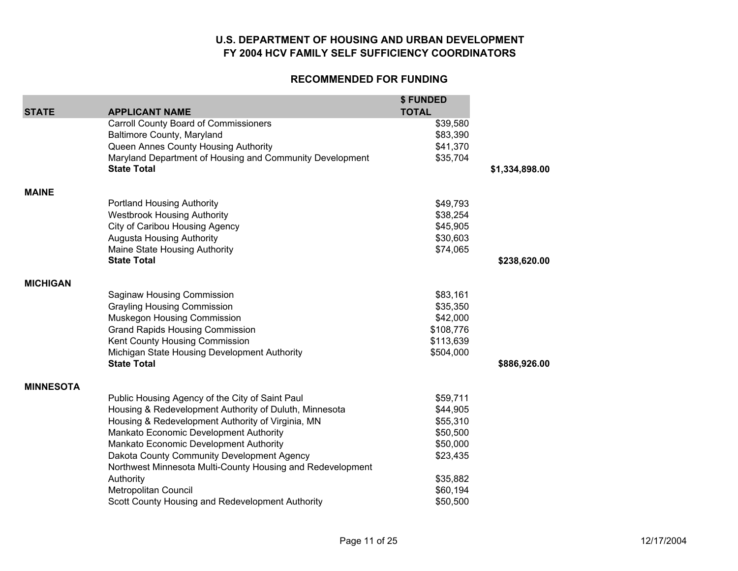| <b>STATE</b>     | <b>APPLICANT NAME</b>                                      | \$ FUNDED<br><b>TOTAL</b> |                |
|------------------|------------------------------------------------------------|---------------------------|----------------|
|                  | Carroll County Board of Commissioners                      | \$39,580                  |                |
|                  | <b>Baltimore County, Maryland</b>                          | \$83,390                  |                |
|                  | Queen Annes County Housing Authority                       | \$41,370                  |                |
|                  | Maryland Department of Housing and Community Development   | \$35,704                  |                |
|                  | <b>State Total</b>                                         |                           | \$1,334,898.00 |
| <b>MAINE</b>     |                                                            |                           |                |
|                  | <b>Portland Housing Authority</b>                          | \$49,793                  |                |
|                  | <b>Westbrook Housing Authority</b>                         | \$38,254                  |                |
|                  | City of Caribou Housing Agency                             | \$45,905                  |                |
|                  | <b>Augusta Housing Authority</b>                           | \$30,603                  |                |
|                  | Maine State Housing Authority                              | \$74,065                  |                |
|                  | <b>State Total</b>                                         |                           | \$238,620.00   |
| <b>MICHIGAN</b>  |                                                            |                           |                |
|                  | Saginaw Housing Commission                                 | \$83,161                  |                |
|                  | <b>Grayling Housing Commission</b>                         | \$35,350                  |                |
|                  | Muskegon Housing Commission                                | \$42,000                  |                |
|                  | <b>Grand Rapids Housing Commission</b>                     | \$108,776                 |                |
|                  | Kent County Housing Commission                             | \$113,639                 |                |
|                  | Michigan State Housing Development Authority               | \$504,000                 |                |
|                  | <b>State Total</b>                                         |                           | \$886,926.00   |
| <b>MINNESOTA</b> |                                                            |                           |                |
|                  | Public Housing Agency of the City of Saint Paul            | \$59,711                  |                |
|                  | Housing & Redevelopment Authority of Duluth, Minnesota     | \$44,905                  |                |
|                  | Housing & Redevelopment Authority of Virginia, MN          | \$55,310                  |                |
|                  | Mankato Economic Development Authority                     | \$50,500                  |                |
|                  | Mankato Economic Development Authority                     | \$50,000                  |                |
|                  | Dakota County Community Development Agency                 | \$23,435                  |                |
|                  | Northwest Minnesota Multi-County Housing and Redevelopment |                           |                |
|                  | Authority                                                  | \$35,882                  |                |
|                  | Metropolitan Council                                       | \$60,194                  |                |
|                  | Scott County Housing and Redevelopment Authority           | \$50,500                  |                |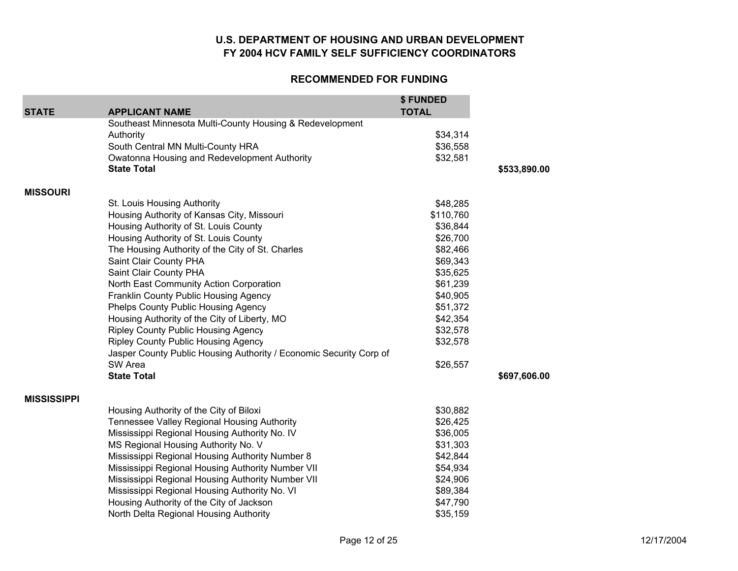| <b>STATE</b>       | <b>APPLICANT NAME</b>                                              | \$ FUNDED<br><b>TOTAL</b> |              |
|--------------------|--------------------------------------------------------------------|---------------------------|--------------|
|                    | Southeast Minnesota Multi-County Housing & Redevelopment           |                           |              |
|                    | Authority                                                          | \$34,314                  |              |
|                    | South Central MN Multi-County HRA                                  | \$36,558                  |              |
|                    | Owatonna Housing and Redevelopment Authority                       | \$32,581                  |              |
|                    | <b>State Total</b>                                                 |                           | \$533,890.00 |
| <b>MISSOURI</b>    |                                                                    |                           |              |
|                    | St. Louis Housing Authority                                        | \$48,285                  |              |
|                    | Housing Authority of Kansas City, Missouri                         | \$110,760                 |              |
|                    | Housing Authority of St. Louis County                              | \$36,844                  |              |
|                    | Housing Authority of St. Louis County                              | \$26,700                  |              |
|                    | The Housing Authority of the City of St. Charles                   | \$82,466                  |              |
|                    | Saint Clair County PHA                                             | \$69,343                  |              |
|                    | Saint Clair County PHA                                             | \$35,625                  |              |
|                    | North East Community Action Corporation                            | \$61,239                  |              |
|                    | Franklin County Public Housing Agency                              | \$40,905                  |              |
|                    | <b>Phelps County Public Housing Agency</b>                         | \$51,372                  |              |
|                    | Housing Authority of the City of Liberty, MO                       | \$42,354                  |              |
|                    | <b>Ripley County Public Housing Agency</b>                         | \$32,578                  |              |
|                    | <b>Ripley County Public Housing Agency</b>                         | \$32,578                  |              |
|                    | Jasper County Public Housing Authority / Economic Security Corp of |                           |              |
|                    | SW Area                                                            | \$26,557                  |              |
|                    | <b>State Total</b>                                                 |                           | \$697,606.00 |
| <b>MISSISSIPPI</b> |                                                                    |                           |              |
|                    | Housing Authority of the City of Biloxi                            | \$30,882                  |              |
|                    | Tennessee Valley Regional Housing Authority                        | \$26,425                  |              |
|                    | Mississippi Regional Housing Authority No. IV                      | \$36,005                  |              |
|                    | MS Regional Housing Authority No. V                                | \$31,303                  |              |
|                    | Mississippi Regional Housing Authority Number 8                    | \$42,844                  |              |
|                    | Mississippi Regional Housing Authority Number VII                  | \$54,934                  |              |
|                    | Mississippi Regional Housing Authority Number VII                  | \$24,906                  |              |
|                    | Mississippi Regional Housing Authority No. VI                      | \$89,384                  |              |
|                    | Housing Authority of the City of Jackson                           | \$47,790                  |              |
|                    | North Delta Regional Housing Authority                             | \$35,159                  |              |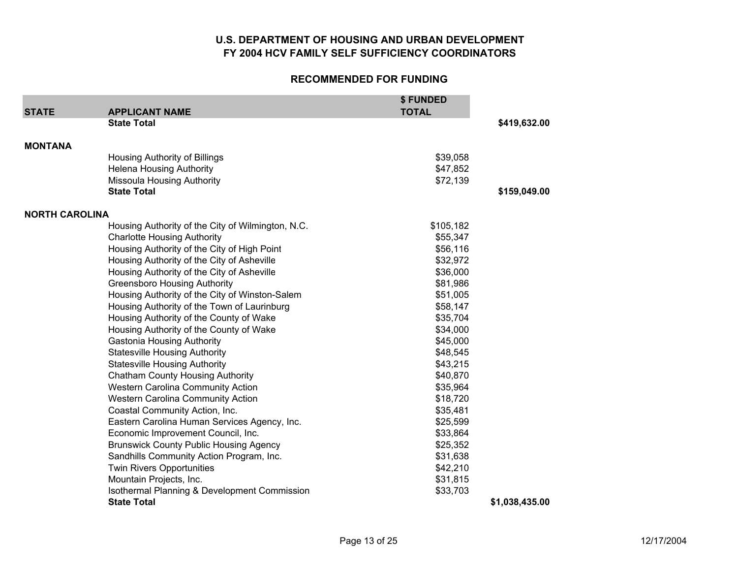| <b>STATE</b>          | <b>APPLICANT NAME</b>                             | \$FUNDED<br><b>TOTAL</b> |                |
|-----------------------|---------------------------------------------------|--------------------------|----------------|
|                       | <b>State Total</b>                                |                          | \$419,632.00   |
| <b>MONTANA</b>        |                                                   |                          |                |
|                       | Housing Authority of Billings                     | \$39,058                 |                |
|                       | <b>Helena Housing Authority</b>                   | \$47,852                 |                |
|                       | <b>Missoula Housing Authority</b>                 | \$72,139                 |                |
|                       | <b>State Total</b>                                |                          | \$159,049.00   |
| <b>NORTH CAROLINA</b> |                                                   |                          |                |
|                       | Housing Authority of the City of Wilmington, N.C. | \$105,182                |                |
|                       | <b>Charlotte Housing Authority</b>                | \$55,347                 |                |
|                       | Housing Authority of the City of High Point       | \$56,116                 |                |
|                       | Housing Authority of the City of Asheville        | \$32,972                 |                |
|                       | Housing Authority of the City of Asheville        | \$36,000                 |                |
|                       | <b>Greensboro Housing Authority</b>               | \$81,986                 |                |
|                       | Housing Authority of the City of Winston-Salem    | \$51,005                 |                |
|                       | Housing Authority of the Town of Laurinburg       | \$58,147                 |                |
|                       | Housing Authority of the County of Wake           | \$35,704                 |                |
|                       | Housing Authority of the County of Wake           | \$34,000                 |                |
|                       | <b>Gastonia Housing Authority</b>                 | \$45,000                 |                |
|                       | <b>Statesville Housing Authority</b>              | \$48,545                 |                |
|                       | <b>Statesville Housing Authority</b>              | \$43,215                 |                |
|                       | <b>Chatham County Housing Authority</b>           | \$40,870                 |                |
|                       | <b>Western Carolina Community Action</b>          | \$35,964                 |                |
|                       | <b>Western Carolina Community Action</b>          | \$18,720                 |                |
|                       | Coastal Community Action, Inc.                    | \$35,481                 |                |
|                       | Eastern Carolina Human Services Agency, Inc.      | \$25,599                 |                |
|                       | Economic Improvement Council, Inc.                | \$33,864                 |                |
|                       | <b>Brunswick County Public Housing Agency</b>     | \$25,352                 |                |
|                       | Sandhills Community Action Program, Inc.          | \$31,638                 |                |
|                       | <b>Twin Rivers Opportunities</b>                  | \$42,210                 |                |
|                       | Mountain Projects, Inc.                           | \$31,815                 |                |
|                       | Isothermal Planning & Development Commission      | \$33,703                 |                |
|                       | <b>State Total</b>                                |                          | \$1,038,435.00 |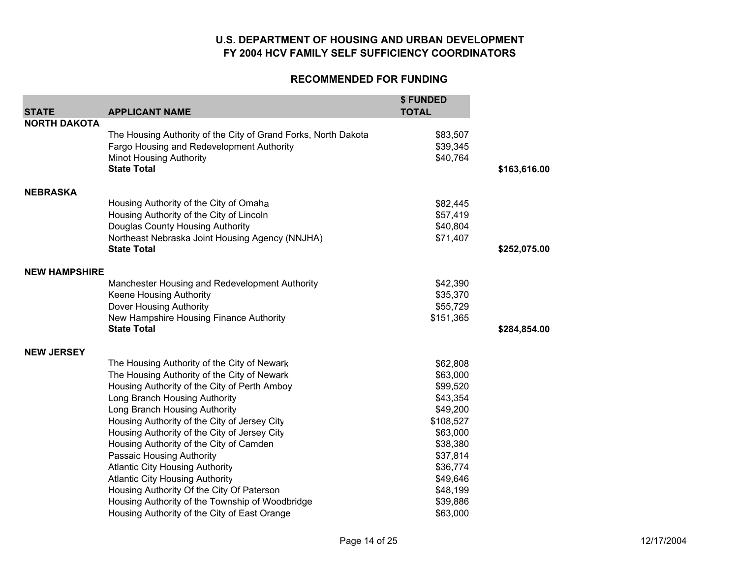| <b>STATE</b>         | <b>APPLICANT NAME</b>                                          | \$ FUNDED<br><b>TOTAL</b> |              |
|----------------------|----------------------------------------------------------------|---------------------------|--------------|
| <b>NORTH DAKOTA</b>  |                                                                |                           |              |
|                      | The Housing Authority of the City of Grand Forks, North Dakota | \$83,507                  |              |
|                      | Fargo Housing and Redevelopment Authority                      | \$39,345                  |              |
|                      | <b>Minot Housing Authority</b>                                 | \$40,764                  |              |
|                      | <b>State Total</b>                                             |                           | \$163,616.00 |
| <b>NEBRASKA</b>      |                                                                |                           |              |
|                      | Housing Authority of the City of Omaha                         | \$82,445                  |              |
|                      | Housing Authority of the City of Lincoln                       | \$57,419                  |              |
|                      | Douglas County Housing Authority                               | \$40,804                  |              |
|                      | Northeast Nebraska Joint Housing Agency (NNJHA)                | \$71,407                  |              |
|                      | <b>State Total</b>                                             |                           | \$252,075.00 |
| <b>NEW HAMPSHIRE</b> |                                                                |                           |              |
|                      | Manchester Housing and Redevelopment Authority                 | \$42,390                  |              |
|                      | Keene Housing Authority                                        | \$35,370                  |              |
|                      | Dover Housing Authority                                        | \$55,729                  |              |
|                      | New Hampshire Housing Finance Authority                        | \$151,365                 |              |
|                      | <b>State Total</b>                                             |                           | \$284,854.00 |
| <b>NEW JERSEY</b>    |                                                                |                           |              |
|                      | The Housing Authority of the City of Newark                    | \$62,808                  |              |
|                      | The Housing Authority of the City of Newark                    | \$63,000                  |              |
|                      | Housing Authority of the City of Perth Amboy                   | \$99,520                  |              |
|                      | Long Branch Housing Authority                                  | \$43,354                  |              |
|                      | Long Branch Housing Authority                                  | \$49,200                  |              |
|                      | Housing Authority of the City of Jersey City                   | \$108,527                 |              |
|                      | Housing Authority of the City of Jersey City                   | \$63,000                  |              |
|                      | Housing Authority of the City of Camden                        | \$38,380                  |              |
|                      | Passaic Housing Authority                                      | \$37,814                  |              |
|                      | <b>Atlantic City Housing Authority</b>                         | \$36,774                  |              |
|                      | <b>Atlantic City Housing Authority</b>                         | \$49,646                  |              |
|                      | Housing Authority Of the City Of Paterson                      | \$48,199                  |              |
|                      | Housing Authority of the Township of Woodbridge                | \$39,886                  |              |
|                      | Housing Authority of the City of East Orange                   | \$63,000                  |              |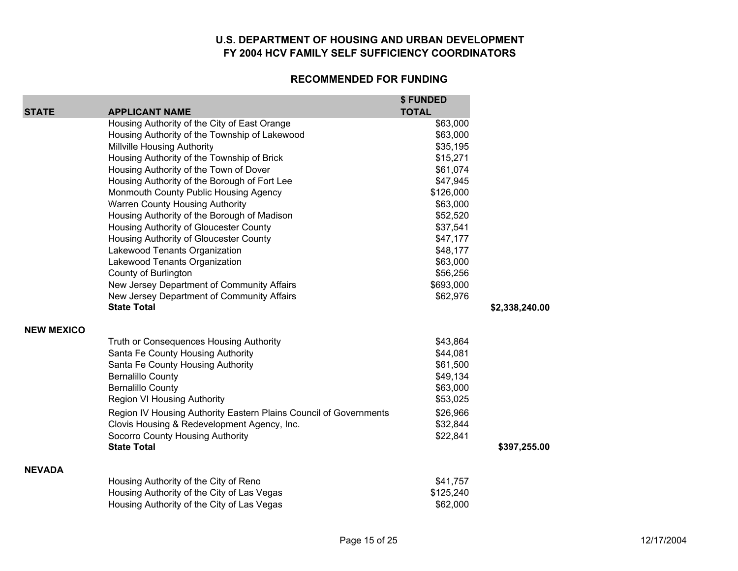| <b>STATE</b>      | <b>APPLICANT NAME</b>                                             | \$ FUNDED<br><b>TOTAL</b> |                |
|-------------------|-------------------------------------------------------------------|---------------------------|----------------|
|                   | Housing Authority of the City of East Orange                      | \$63,000                  |                |
|                   | Housing Authority of the Township of Lakewood                     | \$63,000                  |                |
|                   | <b>Millville Housing Authority</b>                                | \$35,195                  |                |
|                   | Housing Authority of the Township of Brick                        | \$15,271                  |                |
|                   | Housing Authority of the Town of Dover                            | \$61,074                  |                |
|                   | Housing Authority of the Borough of Fort Lee                      | \$47,945                  |                |
|                   | Monmouth County Public Housing Agency                             | \$126,000                 |                |
|                   | Warren County Housing Authority                                   | \$63,000                  |                |
|                   | Housing Authority of the Borough of Madison                       | \$52,520                  |                |
|                   | Housing Authority of Gloucester County                            | \$37,541                  |                |
|                   | Housing Authority of Gloucester County                            | \$47,177                  |                |
|                   | Lakewood Tenants Organization                                     | \$48,177                  |                |
|                   | Lakewood Tenants Organization                                     | \$63,000                  |                |
|                   | County of Burlington                                              | \$56,256                  |                |
|                   | New Jersey Department of Community Affairs                        | \$693,000                 |                |
|                   | New Jersey Department of Community Affairs                        | \$62,976                  |                |
|                   | <b>State Total</b>                                                |                           | \$2,338,240.00 |
| <b>NEW MEXICO</b> |                                                                   |                           |                |
|                   | Truth or Consequences Housing Authority                           | \$43,864                  |                |
|                   | Santa Fe County Housing Authority                                 | \$44,081                  |                |
|                   | Santa Fe County Housing Authority                                 | \$61,500                  |                |
|                   | <b>Bernalillo County</b>                                          | \$49,134                  |                |
|                   | <b>Bernalillo County</b>                                          | \$63,000                  |                |
|                   | Region VI Housing Authority                                       | \$53,025                  |                |
|                   | Region IV Housing Authority Eastern Plains Council of Governments | \$26,966                  |                |
|                   | Clovis Housing & Redevelopment Agency, Inc.                       | \$32,844                  |                |
|                   | Socorro County Housing Authority                                  | \$22,841                  |                |
|                   | <b>State Total</b>                                                |                           | \$397,255.00   |
| <b>NEVADA</b>     |                                                                   |                           |                |
|                   | Housing Authority of the City of Reno                             | \$41,757                  |                |
|                   | Housing Authority of the City of Las Vegas                        | \$125,240                 |                |
|                   | Housing Authority of the City of Las Vegas                        | \$62,000                  |                |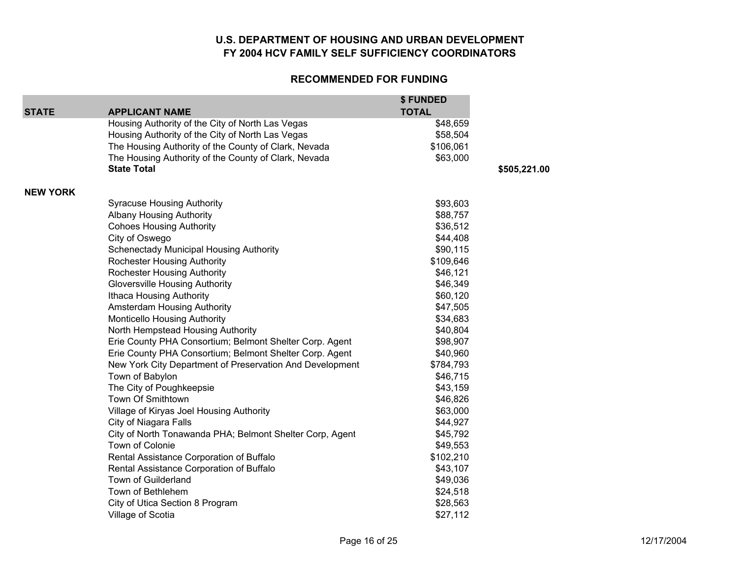| <b>STATE</b>    | <b>APPLICANT NAME</b>                                    | \$ FUNDED<br><b>TOTAL</b> |              |
|-----------------|----------------------------------------------------------|---------------------------|--------------|
|                 | Housing Authority of the City of North Las Vegas         | \$48,659                  |              |
|                 | Housing Authority of the City of North Las Vegas         | \$58,504                  |              |
|                 | The Housing Authority of the County of Clark, Nevada     | \$106,061                 |              |
|                 | The Housing Authority of the County of Clark, Nevada     | \$63,000                  |              |
|                 | <b>State Total</b>                                       |                           | \$505,221.00 |
| <b>NEW YORK</b> |                                                          |                           |              |
|                 | <b>Syracuse Housing Authority</b>                        | \$93,603                  |              |
|                 | <b>Albany Housing Authority</b>                          | \$88,757                  |              |
|                 | <b>Cohoes Housing Authority</b>                          | \$36,512                  |              |
|                 | City of Oswego                                           | \$44,408                  |              |
|                 | <b>Schenectady Municipal Housing Authority</b>           | \$90,115                  |              |
|                 | <b>Rochester Housing Authority</b>                       | \$109,646                 |              |
|                 | <b>Rochester Housing Authority</b>                       | \$46,121                  |              |
|                 | <b>Gloversville Housing Authority</b>                    | \$46,349                  |              |
|                 | Ithaca Housing Authority                                 | \$60,120                  |              |
|                 | Amsterdam Housing Authority                              | \$47,505                  |              |
|                 | <b>Monticello Housing Authority</b>                      | \$34,683                  |              |
|                 | North Hempstead Housing Authority                        | \$40,804                  |              |
|                 | Erie County PHA Consortium; Belmont Shelter Corp. Agent  | \$98,907                  |              |
|                 | Erie County PHA Consortium; Belmont Shelter Corp. Agent  | \$40,960                  |              |
|                 | New York City Department of Preservation And Development | \$784,793                 |              |
|                 | Town of Babylon                                          | \$46,715                  |              |
|                 | The City of Poughkeepsie                                 | \$43,159                  |              |
|                 | Town Of Smithtown                                        | \$46,826                  |              |
|                 | Village of Kiryas Joel Housing Authority                 | \$63,000                  |              |
|                 | City of Niagara Falls                                    | \$44,927                  |              |
|                 | City of North Tonawanda PHA; Belmont Shelter Corp, Agent | \$45,792                  |              |
|                 | Town of Colonie                                          | \$49,553                  |              |
|                 | Rental Assistance Corporation of Buffalo                 | \$102,210                 |              |
|                 | Rental Assistance Corporation of Buffalo                 | \$43,107                  |              |
|                 | Town of Guilderland                                      | \$49,036                  |              |
|                 | Town of Bethlehem                                        | \$24,518                  |              |
|                 | City of Utica Section 8 Program                          | \$28,563                  |              |
|                 | Village of Scotia                                        | \$27,112                  |              |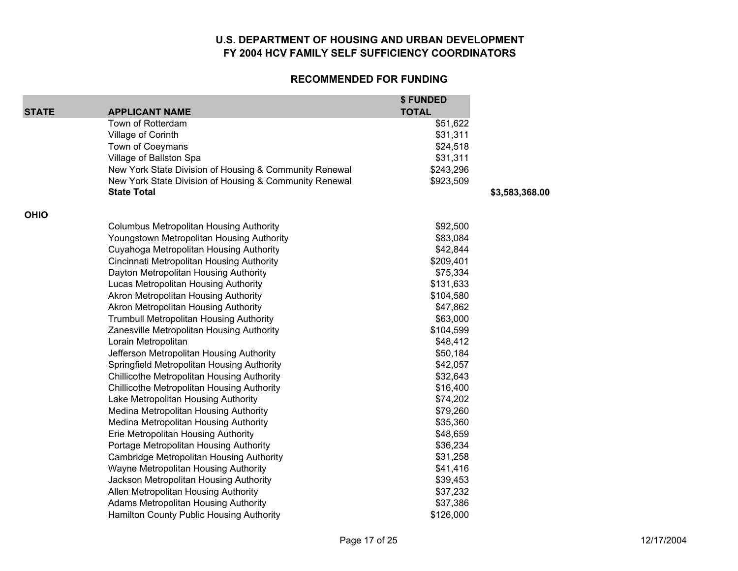#### **RECOMMENDED FOR FUNDING**

**\$ FUNDED** 

|              |                                                        | \$ FUNDED    |                |
|--------------|--------------------------------------------------------|--------------|----------------|
| <b>STATE</b> | <b>APPLICANT NAME</b>                                  | <b>TOTAL</b> |                |
|              | Town of Rotterdam                                      | \$51,622     |                |
|              | Village of Corinth                                     | \$31,311     |                |
|              | Town of Coeymans                                       | \$24,518     |                |
|              | Village of Ballston Spa                                | \$31,311     |                |
|              | New York State Division of Housing & Community Renewal | \$243,296    |                |
|              | New York State Division of Housing & Community Renewal | \$923,509    |                |
|              | <b>State Total</b>                                     |              | \$3,583,368.00 |
| <b>OHIO</b>  |                                                        |              |                |
|              | <b>Columbus Metropolitan Housing Authority</b>         | \$92,500     |                |
|              | Youngstown Metropolitan Housing Authority              | \$83,084     |                |
|              | Cuyahoga Metropolitan Housing Authority                | \$42,844     |                |
|              | Cincinnati Metropolitan Housing Authority              | \$209,401    |                |
|              | Dayton Metropolitan Housing Authority                  | \$75,334     |                |
|              | Lucas Metropolitan Housing Authority                   | \$131,633    |                |
|              | Akron Metropolitan Housing Authority                   | \$104,580    |                |
|              | Akron Metropolitan Housing Authority                   | \$47,862     |                |
|              | <b>Trumbull Metropolitan Housing Authority</b>         | \$63,000     |                |
|              | Zanesville Metropolitan Housing Authority              | \$104,599    |                |
|              | Lorain Metropolitan                                    | \$48,412     |                |
|              | Jefferson Metropolitan Housing Authority               | \$50,184     |                |
|              | Springfield Metropolitan Housing Authority             | \$42,057     |                |
|              | Chillicothe Metropolitan Housing Authority             | \$32,643     |                |
|              | Chillicothe Metropolitan Housing Authority             | \$16,400     |                |
|              | Lake Metropolitan Housing Authority                    | \$74,202     |                |
|              | Medina Metropolitan Housing Authority                  | \$79,260     |                |
|              | Medina Metropolitan Housing Authority                  | \$35,360     |                |
|              | Erie Metropolitan Housing Authority                    | \$48,659     |                |
|              | Portage Metropolitan Housing Authority                 | \$36,234     |                |
|              | Cambridge Metropolitan Housing Authority               | \$31,258     |                |
|              | Wayne Metropolitan Housing Authority                   | \$41,416     |                |
|              | Jackson Metropolitan Housing Authority                 | \$39,453     |                |
|              | Allen Metropolitan Housing Authority                   | \$37,232     |                |
|              | <b>Adams Metropolitan Housing Authority</b>            | \$37,386     |                |
|              | Hamilton County Public Housing Authority               | \$126,000    |                |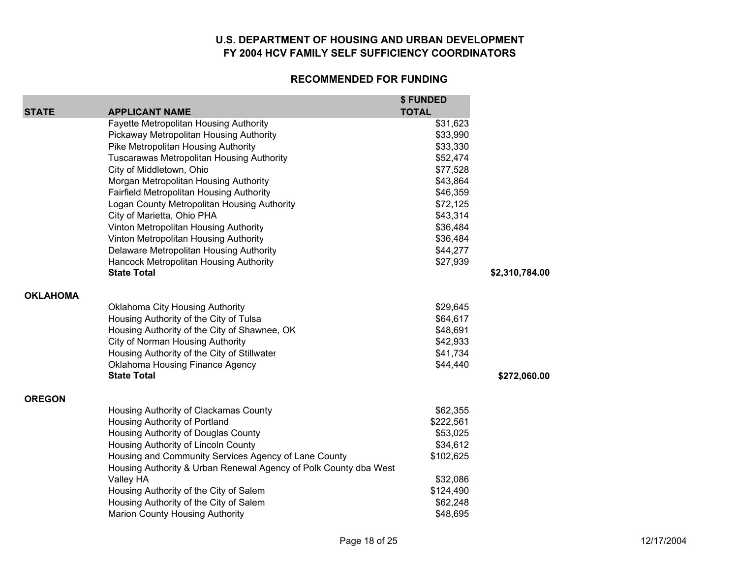|                 |                                                                  | \$ FUNDED    |                |
|-----------------|------------------------------------------------------------------|--------------|----------------|
| <b>STATE</b>    | <b>APPLICANT NAME</b>                                            | <b>TOTAL</b> |                |
|                 | Fayette Metropolitan Housing Authority                           | \$31,623     |                |
|                 | Pickaway Metropolitan Housing Authority                          | \$33,990     |                |
|                 | Pike Metropolitan Housing Authority                              | \$33,330     |                |
|                 | <b>Tuscarawas Metropolitan Housing Authority</b>                 | \$52,474     |                |
|                 | City of Middletown, Ohio                                         | \$77,528     |                |
|                 | Morgan Metropolitan Housing Authority                            | \$43,864     |                |
|                 | Fairfield Metropolitan Housing Authority                         | \$46,359     |                |
|                 | Logan County Metropolitan Housing Authority                      | \$72,125     |                |
|                 | City of Marietta, Ohio PHA                                       | \$43,314     |                |
|                 | Vinton Metropolitan Housing Authority                            | \$36,484     |                |
|                 | Vinton Metropolitan Housing Authority                            | \$36,484     |                |
|                 | Delaware Metropolitan Housing Authority                          | \$44,277     |                |
|                 | Hancock Metropolitan Housing Authority                           | \$27,939     |                |
|                 | <b>State Total</b>                                               |              | \$2,310,784.00 |
| <b>OKLAHOMA</b> |                                                                  |              |                |
|                 | Oklahoma City Housing Authority                                  | \$29,645     |                |
|                 | Housing Authority of the City of Tulsa                           | \$64,617     |                |
|                 | Housing Authority of the City of Shawnee, OK                     | \$48,691     |                |
|                 | City of Norman Housing Authority                                 | \$42,933     |                |
|                 | Housing Authority of the City of Stillwater                      | \$41,734     |                |
|                 | Oklahoma Housing Finance Agency                                  | \$44,440     |                |
|                 | <b>State Total</b>                                               |              | \$272,060.00   |
| <b>OREGON</b>   |                                                                  |              |                |
|                 | Housing Authority of Clackamas County                            | \$62,355     |                |
|                 | Housing Authority of Portland                                    | \$222,561    |                |
|                 | Housing Authority of Douglas County                              | \$53,025     |                |
|                 | Housing Authority of Lincoln County                              | \$34,612     |                |
|                 | Housing and Community Services Agency of Lane County             | \$102,625    |                |
|                 | Housing Authority & Urban Renewal Agency of Polk County dba West |              |                |
|                 | Valley HA                                                        | \$32,086     |                |
|                 | Housing Authority of the City of Salem                           | \$124,490    |                |
|                 | Housing Authority of the City of Salem                           | \$62,248     |                |
|                 | <b>Marion County Housing Authority</b>                           | \$48,695     |                |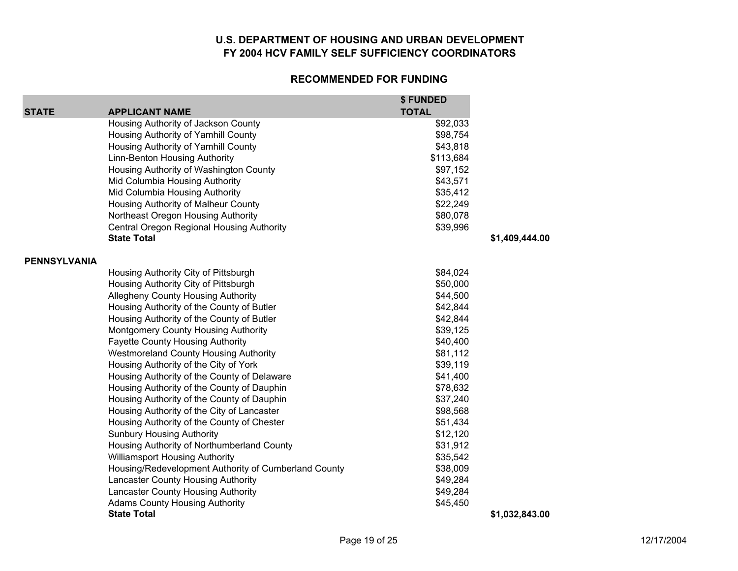| <b>STATE</b> | <b>APPLICANT NAME</b>                                | \$ FUNDED<br><b>TOTAL</b> |                |
|--------------|------------------------------------------------------|---------------------------|----------------|
|              | Housing Authority of Jackson County                  | \$92,033                  |                |
|              | Housing Authority of Yamhill County                  | \$98,754                  |                |
|              | Housing Authority of Yamhill County                  | \$43,818                  |                |
|              | Linn-Benton Housing Authority                        | \$113,684                 |                |
|              | Housing Authority of Washington County               | \$97,152                  |                |
|              | Mid Columbia Housing Authority                       | \$43,571                  |                |
|              | Mid Columbia Housing Authority                       | \$35,412                  |                |
|              | Housing Authority of Malheur County                  | \$22,249                  |                |
|              | Northeast Oregon Housing Authority                   | \$80,078                  |                |
|              | Central Oregon Regional Housing Authority            | \$39,996                  |                |
|              | <b>State Total</b>                                   |                           | \$1,409,444.00 |
| PENNSYLVANIA |                                                      |                           |                |
|              | Housing Authority City of Pittsburgh                 | \$84,024                  |                |
|              | Housing Authority City of Pittsburgh                 | \$50,000                  |                |
|              | <b>Allegheny County Housing Authority</b>            | \$44,500                  |                |
|              | Housing Authority of the County of Butler            | \$42,844                  |                |
|              | Housing Authority of the County of Butler            | \$42,844                  |                |
|              | Montgomery County Housing Authority                  | \$39,125                  |                |
|              | <b>Fayette County Housing Authority</b>              | \$40,400                  |                |
|              | <b>Westmoreland County Housing Authority</b>         | \$81,112                  |                |
|              | Housing Authority of the City of York                | \$39,119                  |                |
|              | Housing Authority of the County of Delaware          | \$41,400                  |                |
|              | Housing Authority of the County of Dauphin           | \$78,632                  |                |
|              | Housing Authority of the County of Dauphin           | \$37,240                  |                |
|              | Housing Authority of the City of Lancaster           | \$98,568                  |                |
|              | Housing Authority of the County of Chester           | \$51,434                  |                |
|              | <b>Sunbury Housing Authority</b>                     | \$12,120                  |                |
|              | Housing Authority of Northumberland County           | \$31,912                  |                |
|              | <b>Williamsport Housing Authority</b>                | \$35,542                  |                |
|              | Housing/Redevelopment Authority of Cumberland County | \$38,009                  |                |
|              | Lancaster County Housing Authority                   | \$49,284                  |                |
|              | Lancaster County Housing Authority                   | \$49,284                  |                |
|              | <b>Adams County Housing Authority</b>                | \$45,450                  |                |
|              | <b>State Total</b>                                   |                           | \$1,032,843.00 |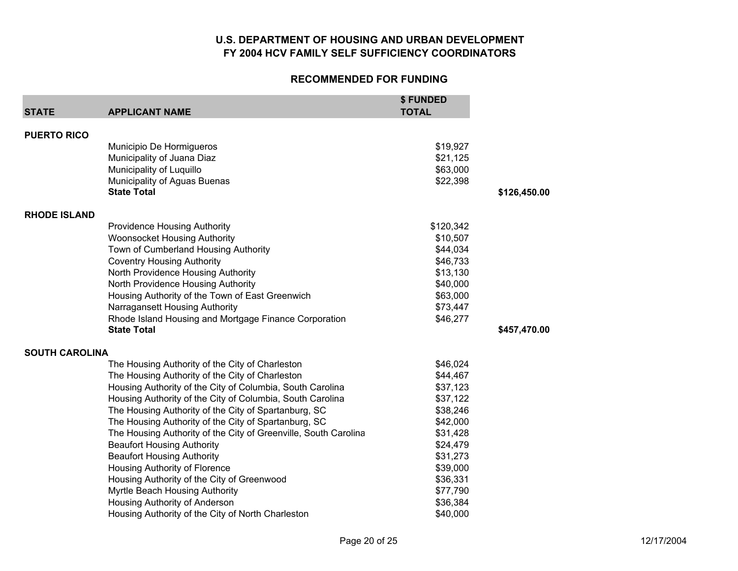| <b>STATE</b>          | <b>APPLICANT NAME</b>                                           | \$ FUNDED<br><b>TOTAL</b> |              |
|-----------------------|-----------------------------------------------------------------|---------------------------|--------------|
|                       |                                                                 |                           |              |
| <b>PUERTO RICO</b>    |                                                                 |                           |              |
|                       | Municipio De Hormigueros                                        | \$19,927                  |              |
|                       | Municipality of Juana Diaz                                      | \$21,125                  |              |
|                       | Municipality of Luquillo                                        | \$63,000                  |              |
|                       | Municipality of Aguas Buenas                                    | \$22,398                  |              |
|                       | <b>State Total</b>                                              |                           | \$126,450.00 |
| <b>RHODE ISLAND</b>   |                                                                 |                           |              |
|                       | <b>Providence Housing Authority</b>                             | \$120,342                 |              |
|                       | <b>Woonsocket Housing Authority</b>                             | \$10,507                  |              |
|                       | Town of Cumberland Housing Authority                            | \$44,034                  |              |
|                       | <b>Coventry Housing Authority</b>                               | \$46,733                  |              |
|                       | North Providence Housing Authority                              | \$13,130                  |              |
|                       | North Providence Housing Authority                              | \$40,000                  |              |
|                       | Housing Authority of the Town of East Greenwich                 | \$63,000                  |              |
|                       | Narragansett Housing Authority                                  | \$73,447                  |              |
|                       | Rhode Island Housing and Mortgage Finance Corporation           | \$46,277                  |              |
|                       | <b>State Total</b>                                              |                           | \$457,470.00 |
| <b>SOUTH CAROLINA</b> |                                                                 |                           |              |
|                       | The Housing Authority of the City of Charleston                 | \$46,024                  |              |
|                       | The Housing Authority of the City of Charleston                 | \$44,467                  |              |
|                       | Housing Authority of the City of Columbia, South Carolina       | \$37,123                  |              |
|                       | Housing Authority of the City of Columbia, South Carolina       | \$37,122                  |              |
|                       | The Housing Authority of the City of Spartanburg, SC            | \$38,246                  |              |
|                       | The Housing Authority of the City of Spartanburg, SC            | \$42,000                  |              |
|                       | The Housing Authority of the City of Greenville, South Carolina | \$31,428                  |              |
|                       | <b>Beaufort Housing Authority</b>                               | \$24,479                  |              |
|                       | <b>Beaufort Housing Authority</b>                               | \$31,273                  |              |
|                       | Housing Authority of Florence                                   | \$39,000                  |              |
|                       | Housing Authority of the City of Greenwood                      | \$36,331                  |              |
|                       | Myrtle Beach Housing Authority                                  | \$77,790                  |              |
|                       | Housing Authority of Anderson                                   | \$36,384                  |              |
|                       | Housing Authority of the City of North Charleston               | \$40,000                  |              |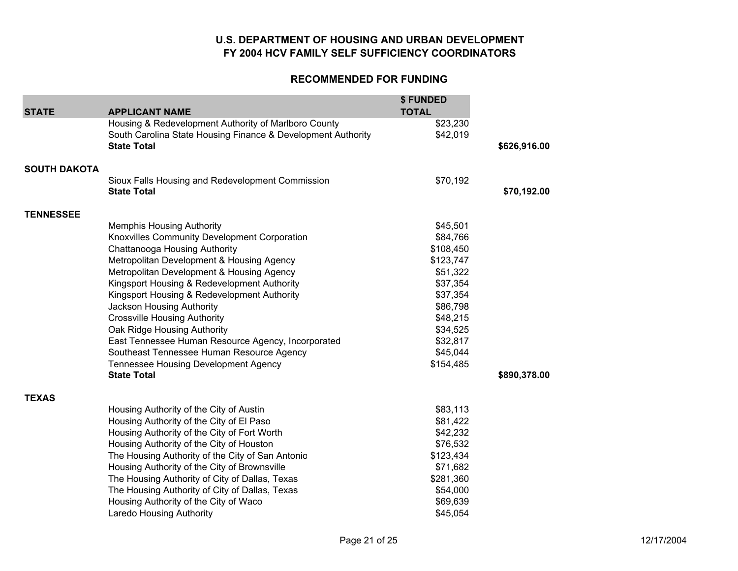| <b>STATE</b>        | <b>APPLICANT NAME</b>                                        | \$FUNDED<br><b>TOTAL</b> |              |
|---------------------|--------------------------------------------------------------|--------------------------|--------------|
|                     | Housing & Redevelopment Authority of Marlboro County         | \$23,230                 |              |
|                     | South Carolina State Housing Finance & Development Authority | \$42,019                 |              |
|                     | <b>State Total</b>                                           |                          | \$626,916.00 |
|                     |                                                              |                          |              |
| <b>SOUTH DAKOTA</b> |                                                              |                          |              |
|                     | Sioux Falls Housing and Redevelopment Commission             | \$70,192                 |              |
|                     | <b>State Total</b>                                           |                          | \$70,192.00  |
| <b>TENNESSEE</b>    |                                                              |                          |              |
|                     | <b>Memphis Housing Authority</b>                             | \$45,501                 |              |
|                     | Knoxvilles Community Development Corporation                 | \$84,766                 |              |
|                     | Chattanooga Housing Authority                                | \$108,450                |              |
|                     | Metropolitan Development & Housing Agency                    | \$123,747                |              |
|                     | Metropolitan Development & Housing Agency                    | \$51,322                 |              |
|                     | Kingsport Housing & Redevelopment Authority                  | \$37,354                 |              |
|                     | Kingsport Housing & Redevelopment Authority                  | \$37,354                 |              |
|                     | Jackson Housing Authority                                    | \$86,798                 |              |
|                     | <b>Crossville Housing Authority</b>                          | \$48,215                 |              |
|                     | Oak Ridge Housing Authority                                  | \$34,525                 |              |
|                     | East Tennessee Human Resource Agency, Incorporated           | \$32,817                 |              |
|                     | Southeast Tennessee Human Resource Agency                    | \$45,044                 |              |
|                     | <b>Tennessee Housing Development Agency</b>                  | \$154,485                |              |
|                     | <b>State Total</b>                                           |                          | \$890,378.00 |
| <b>TEXAS</b>        |                                                              |                          |              |
|                     | Housing Authority of the City of Austin                      | \$83,113                 |              |
|                     | Housing Authority of the City of El Paso                     | \$81,422                 |              |
|                     | Housing Authority of the City of Fort Worth                  | \$42,232                 |              |
|                     | Housing Authority of the City of Houston                     | \$76,532                 |              |
|                     | The Housing Authority of the City of San Antonio             | \$123,434                |              |
|                     | Housing Authority of the City of Brownsville                 | \$71,682                 |              |
|                     | The Housing Authority of City of Dallas, Texas               | \$281,360                |              |
|                     | The Housing Authority of City of Dallas, Texas               | \$54,000                 |              |
|                     | Housing Authority of the City of Waco                        | \$69,639                 |              |
|                     | <b>Laredo Housing Authority</b>                              | \$45,054                 |              |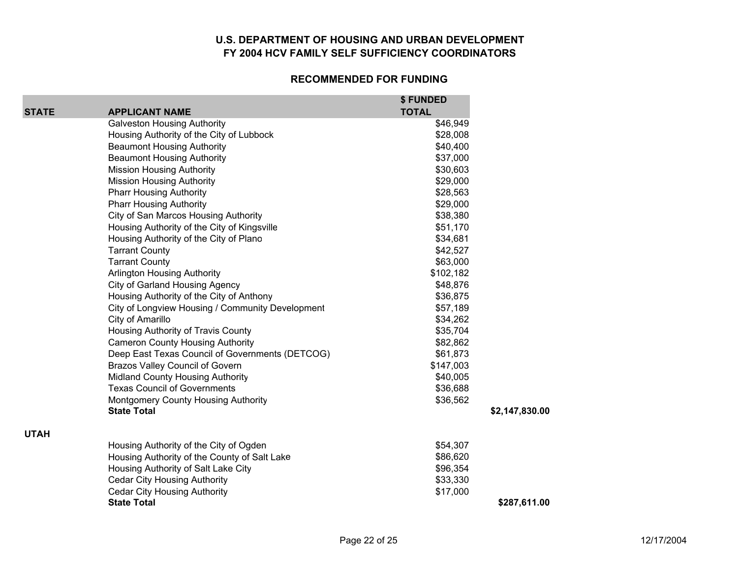| <b>STATE</b> | <b>APPLICANT NAME</b>                            | \$FUNDED<br><b>TOTAL</b> |                |
|--------------|--------------------------------------------------|--------------------------|----------------|
|              | <b>Galveston Housing Authority</b>               | \$46,949                 |                |
|              | Housing Authority of the City of Lubbock         | \$28,008                 |                |
|              | <b>Beaumont Housing Authority</b>                | \$40,400                 |                |
|              | <b>Beaumont Housing Authority</b>                | \$37,000                 |                |
|              | <b>Mission Housing Authority</b>                 | \$30,603                 |                |
|              | <b>Mission Housing Authority</b>                 | \$29,000                 |                |
|              | <b>Pharr Housing Authority</b>                   | \$28,563                 |                |
|              | <b>Pharr Housing Authority</b>                   | \$29,000                 |                |
|              | City of San Marcos Housing Authority             | \$38,380                 |                |
|              | Housing Authority of the City of Kingsville      | \$51,170                 |                |
|              | Housing Authority of the City of Plano           | \$34,681                 |                |
|              | <b>Tarrant County</b>                            | \$42,527                 |                |
|              | <b>Tarrant County</b>                            | \$63,000                 |                |
|              | <b>Arlington Housing Authority</b>               | \$102,182                |                |
|              | City of Garland Housing Agency                   | \$48,876                 |                |
|              | Housing Authority of the City of Anthony         | \$36,875                 |                |
|              | City of Longview Housing / Community Development | \$57,189                 |                |
|              | City of Amarillo                                 | \$34,262                 |                |
|              | Housing Authority of Travis County               | \$35,704                 |                |
|              | <b>Cameron County Housing Authority</b>          | \$82,862                 |                |
|              | Deep East Texas Council of Governments (DETCOG)  | \$61,873                 |                |
|              | <b>Brazos Valley Council of Govern</b>           | \$147,003                |                |
|              | Midland County Housing Authority                 | \$40,005                 |                |
|              | <b>Texas Council of Governments</b>              | \$36,688                 |                |
|              | Montgomery County Housing Authority              | \$36,562                 |                |
|              | <b>State Total</b>                               |                          | \$2,147,830.00 |
| <b>UTAH</b>  |                                                  |                          |                |
|              | Housing Authority of the City of Ogden           | \$54,307                 |                |
|              | Housing Authority of the County of Salt Lake     | \$86,620                 |                |
|              | Housing Authority of Salt Lake City              | \$96,354                 |                |
|              | <b>Cedar City Housing Authority</b>              | \$33,330                 |                |
|              | <b>Cedar City Housing Authority</b>              | \$17,000                 |                |
|              | <b>State Total</b>                               |                          | \$287,611.00   |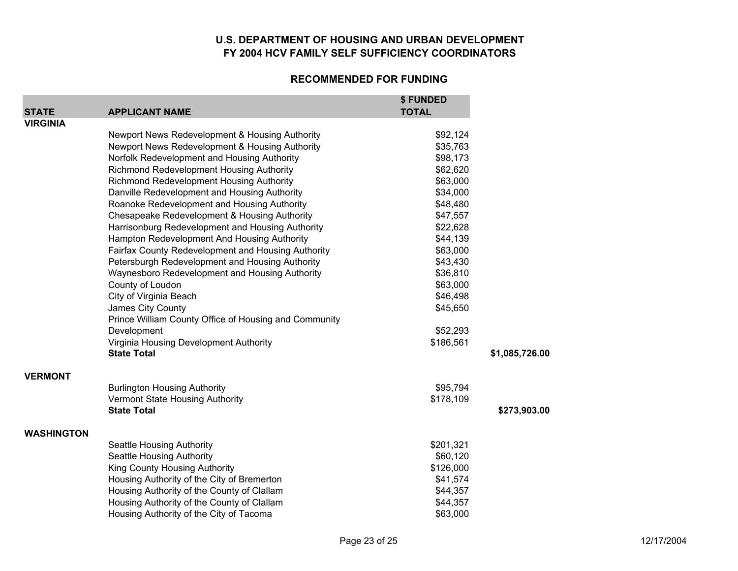|                   |                                                       | \$ FUNDED    |                |
|-------------------|-------------------------------------------------------|--------------|----------------|
| <b>STATE</b>      | <b>APPLICANT NAME</b>                                 | <b>TOTAL</b> |                |
| <b>VIRGINIA</b>   |                                                       |              |                |
|                   | Newport News Redevelopment & Housing Authority        | \$92,124     |                |
|                   | Newport News Redevelopment & Housing Authority        | \$35,763     |                |
|                   | Norfolk Redevelopment and Housing Authority           | \$98,173     |                |
|                   | Richmond Redevelopment Housing Authority              | \$62,620     |                |
|                   | Richmond Redevelopment Housing Authority              | \$63,000     |                |
|                   | Danville Redevelopment and Housing Authority          | \$34,000     |                |
|                   | Roanoke Redevelopment and Housing Authority           | \$48,480     |                |
|                   | Chesapeake Redevelopment & Housing Authority          | \$47,557     |                |
|                   | Harrisonburg Redevelopment and Housing Authority      | \$22,628     |                |
|                   | Hampton Redevelopment And Housing Authority           | \$44,139     |                |
|                   | Fairfax County Redevelopment and Housing Authority    | \$63,000     |                |
|                   | Petersburgh Redevelopment and Housing Authority       | \$43,430     |                |
|                   | Waynesboro Redevelopment and Housing Authority        | \$36,810     |                |
|                   | County of Loudon                                      | \$63,000     |                |
|                   | City of Virginia Beach                                | \$46,498     |                |
|                   | James City County                                     | \$45,650     |                |
|                   | Prince William County Office of Housing and Community |              |                |
|                   | Development                                           | \$52,293     |                |
|                   | Virginia Housing Development Authority                | \$186,561    |                |
|                   | <b>State Total</b>                                    |              | \$1,085,726.00 |
|                   |                                                       |              |                |
| <b>VERMONT</b>    |                                                       |              |                |
|                   | <b>Burlington Housing Authority</b>                   | \$95,794     |                |
|                   | Vermont State Housing Authority                       | \$178,109    |                |
|                   | <b>State Total</b>                                    |              | \$273,903.00   |
| <b>WASHINGTON</b> |                                                       |              |                |
|                   | Seattle Housing Authority                             | \$201,321    |                |
|                   | Seattle Housing Authority                             | \$60,120     |                |
|                   | King County Housing Authority                         | \$126,000    |                |
|                   | Housing Authority of the City of Bremerton            | \$41,574     |                |
|                   | Housing Authority of the County of Clallam            | \$44,357     |                |
|                   | Housing Authority of the County of Clallam            | \$44,357     |                |
|                   | Housing Authority of the City of Tacoma               | \$63,000     |                |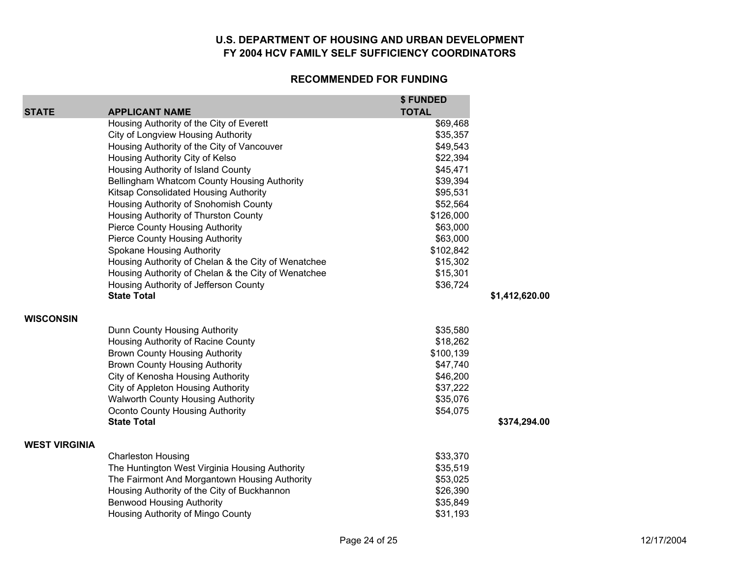|                      |                                                                                         | \$ FUNDED<br><b>TOTAL</b> |                |
|----------------------|-----------------------------------------------------------------------------------------|---------------------------|----------------|
| <b>STATE</b>         | <b>APPLICANT NAME</b>                                                                   |                           |                |
|                      | Housing Authority of the City of Everett                                                | \$69,468                  |                |
|                      | <b>City of Longview Housing Authority</b><br>Housing Authority of the City of Vancouver | \$35,357<br>\$49,543      |                |
|                      | Housing Authority City of Kelso                                                         | \$22,394                  |                |
|                      | Housing Authority of Island County                                                      | \$45,471                  |                |
|                      | Bellingham Whatcom County Housing Authority                                             | \$39,394                  |                |
|                      | Kitsap Consolidated Housing Authority                                                   | \$95,531                  |                |
|                      | Housing Authority of Snohomish County                                                   | \$52,564                  |                |
|                      | Housing Authority of Thurston County                                                    | \$126,000                 |                |
|                      | <b>Pierce County Housing Authority</b>                                                  | \$63,000                  |                |
|                      | <b>Pierce County Housing Authority</b>                                                  | \$63,000                  |                |
|                      | <b>Spokane Housing Authority</b>                                                        | \$102,842                 |                |
|                      | Housing Authority of Chelan & the City of Wenatchee                                     | \$15,302                  |                |
|                      | Housing Authority of Chelan & the City of Wenatchee                                     | \$15,301                  |                |
|                      | Housing Authority of Jefferson County                                                   | \$36,724                  |                |
|                      | <b>State Total</b>                                                                      |                           | \$1,412,620.00 |
| <b>WISCONSIN</b>     |                                                                                         |                           |                |
|                      | Dunn County Housing Authority                                                           | \$35,580                  |                |
|                      | Housing Authority of Racine County                                                      | \$18,262                  |                |
|                      | <b>Brown County Housing Authority</b>                                                   | \$100,139                 |                |
|                      | <b>Brown County Housing Authority</b>                                                   | \$47,740                  |                |
|                      | City of Kenosha Housing Authority                                                       | \$46,200                  |                |
|                      | City of Appleton Housing Authority                                                      | \$37,222                  |                |
|                      | Walworth County Housing Authority                                                       | \$35,076                  |                |
|                      | Oconto County Housing Authority                                                         | \$54,075                  |                |
|                      | <b>State Total</b>                                                                      |                           | \$374,294.00   |
| <b>WEST VIRGINIA</b> |                                                                                         |                           |                |
|                      | <b>Charleston Housing</b>                                                               | \$33,370                  |                |
|                      | The Huntington West Virginia Housing Authority                                          | \$35,519                  |                |
|                      | The Fairmont And Morgantown Housing Authority                                           | \$53,025                  |                |
|                      | Housing Authority of the City of Buckhannon                                             | \$26,390                  |                |
|                      | <b>Benwood Housing Authority</b>                                                        | \$35,849                  |                |
|                      | Housing Authority of Mingo County                                                       | \$31,193                  |                |